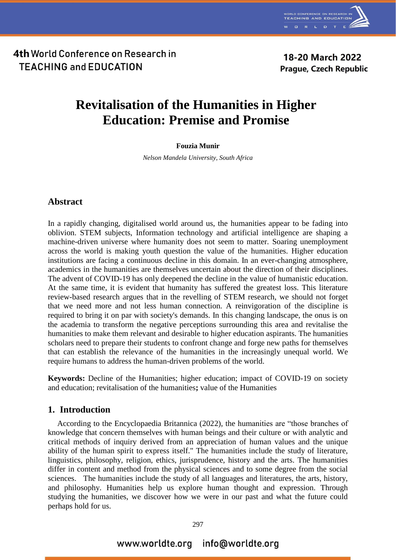

18-20 March 2022 **Prague, Czech Republic** 

# **Revitalisation of the Humanities in Higher Education: Premise and Promise**

#### **Fouzia Munir**

*Nelson Mandela University, South Africa*

### **Abstract**

In a rapidly changing, digitalised world around us, the humanities appear to be fading into oblivion. STEM subjects, Information technology and artificial intelligence are shaping a machine-driven universe where humanity does not seem to matter. Soaring unemployment across the world is making youth question the value of the humanities. Higher education institutions are facing a continuous decline in this domain. In an ever-changing atmosphere, academics in the humanities are themselves uncertain about the direction of their disciplines. The advent of COVID-19 has only deepened the decline in the value of humanistic education. At the same time, it is evident that humanity has suffered the greatest loss. This literature review-based research argues that in the revelling of STEM research, we should not forget that we need more and not less human connection. A reinvigoration of the discipline is required to bring it on par with society's demands. In this changing landscape, the onus is on the academia to transform the negative perceptions surrounding this area and revitalise the humanities to make them relevant and desirable to higher education aspirants. The humanities scholars need to prepare their students to confront change and forge new paths for themselves that can establish the relevance of the humanities in the increasingly unequal world. We require humans to address the human-driven problems of the world.

**Keywords:** Decline of the Humanities; higher education; impact of COVID-19 on society and education; revitalisation of the humanities**;** value of the Humanities

### **1. Introduction**

According to the Encyclopaedia Britannica (2022), the humanities are "those branches of knowledge that concern themselves with human beings and their culture or with analytic and critical methods of inquiry derived from an appreciation of human values and the unique ability of the human spirit to express itself." The humanities include the study of literature, linguistics, philosophy, religion, ethics, jurisprudence, history and the arts. The humanities differ in content and method from the physical sciences and to some degree from the social sciences. The humanities include the study of all languages and literatures, the arts, history, and philosophy. Humanities help us explore human thought and expression. Through studying the humanities, we discover how we were in our past and what the future could perhaps hold for us.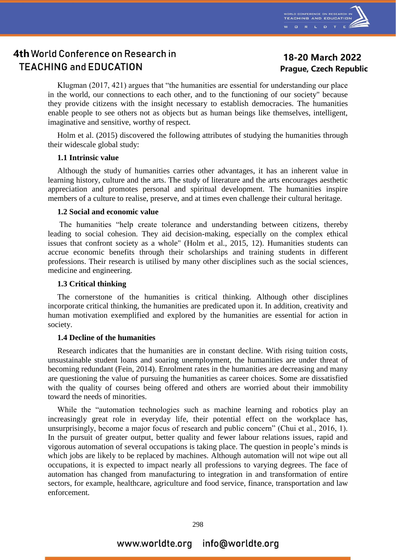

## 18-20 March 2022 **Prague, Czech Republic**

Klugman (2017, 421) argues that "the humanities are essential for understanding our place in the world, our connections to each other, and to the functioning of our society" because they provide citizens with the insight necessary to establish democracies. The humanities enable people to see others not as objects but as human beings like themselves, intelligent, imaginative and sensitive, worthy of respect.

Holm et al. (2015) discovered the following attributes of studying the humanities through their widescale global study:

#### **1.1 Intrinsic value**

Although the study of humanities carries other advantages, it has an inherent value in learning history, culture and the arts. The study of literature and the arts encourages aesthetic appreciation and promotes personal and spiritual development. The humanities inspire members of a culture to realise, preserve, and at times even challenge their cultural heritage.

#### **1.2 Social and economic value**

The humanities "help create tolerance and understanding between citizens, thereby leading to social cohesion. They aid decision-making, especially on the complex ethical issues that confront society as a whole" (Holm et al., 2015, 12). Humanities students can accrue economic benefits through their scholarships and training students in different professions. Their research is utilised by many other disciplines such as the social sciences, medicine and engineering.

#### **1.3 Critical thinking**

The cornerstone of the humanities is critical thinking. Although other disciplines incorporate critical thinking, the humanities are predicated upon it. In addition, creativity and human motivation exemplified and explored by the humanities are essential for action in society.

#### **1.4 Decline of the humanities**

Research indicates that the humanities are in constant decline. With rising tuition costs, unsustainable student loans and soaring unemployment, the humanities are under threat of becoming redundant (Fein, 2014). Enrolment rates in the humanities are decreasing and many are questioning the value of pursuing the humanities as career choices. Some are dissatisfied with the quality of courses being offered and others are worried about their immobility toward the needs of minorities.

While the "automation technologies such as machine learning and robotics play an increasingly great role in everyday life, their potential effect on the workplace has, unsurprisingly, become a major focus of research and public concern" (Chui et al., 2016, 1). In the pursuit of greater output, better quality and fewer labour relations issues, rapid and vigorous automation of several occupations is taking place. The question in people's minds is which jobs are likely to be replaced by machines. Although automation will not wipe out all occupations, it is expected to impact nearly all professions to varying degrees. The face of automation has changed from manufacturing to integration in and transformation of entire sectors, for example, healthcare, agriculture and food service, finance, transportation and law enforcement.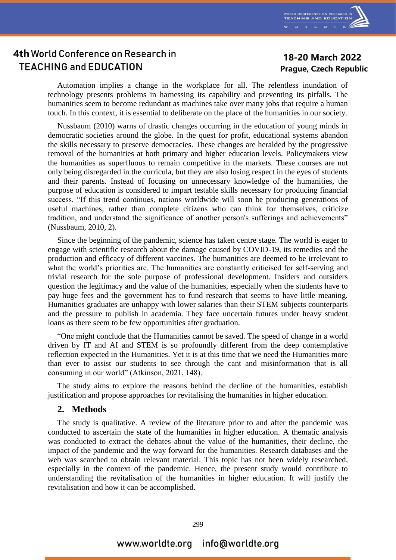

### 18-20 March 2022 **Prague, Czech Republic**

Automation implies a change in the workplace for all. The relentless inundation of technology presents problems in harnessing its capability and preventing its pitfalls. The humanities seem to become redundant as machines take over many jobs that require a human touch. In this context, it is essential to deliberate on the place of the humanities in our society.

Nussbaum (2010) warns of drastic changes occurring in the education of young minds in democratic societies around the globe. In the quest for profit, educational systems abandon the skills necessary to preserve democracies. These changes are heralded by the progressive removal of the humanities at both primary and higher education levels. Policymakers view the humanities as superfluous to remain competitive in the markets. These courses are not only being disregarded in the curricula, but they are also losing respect in the eyes of students and their parents. Instead of focusing on unnecessary knowledge of the humanities, the purpose of education is considered to impart testable skills necessary for producing financial success. "If this trend continues, nations worldwide will soon be producing generations of useful machines, rather than complete citizens who can think for themselves, criticize tradition, and understand the significance of another person's sufferings and achievements" (Nussbaum, 2010, 2).

Since the beginning of the pandemic, science has taken centre stage. The world is eager to engage with scientific research about the damage caused by COVID-19, its remedies and the production and efficacy of different vaccines. The humanities are deemed to be irrelevant to what the world's priorities are. The humanities are constantly criticised for self-serving and trivial research for the sole purpose of professional development. Insiders and outsiders question the legitimacy and the value of the humanities, especially when the students have to pay huge fees and the government has to fund research that seems to have little meaning. Humanities graduates are unhappy with lower salaries than their STEM subjects counterparts and the pressure to publish in academia. They face uncertain futures under heavy student loans as there seem to be few opportunities after graduation.

"One might conclude that the Humanities cannot be saved. The speed of change in a world driven by IT and AI and STEM is so profoundly different from the deep contemplative reflection expected in the Humanities. Yet it is at this time that we need the Humanities more than ever to assist our students to see through the cant and misinformation that is all consuming in our world" (Atkinson, 2021, 148).

The study aims to explore the reasons behind the decline of the humanities, establish justification and propose approaches for revitalising the humanities in higher education.

#### **2. Methods**

The study is qualitative. A review of the literature prior to and after the pandemic was conducted to ascertain the state of the humanities in higher education. A thematic analysis was conducted to extract the debates about the value of the humanities, their decline, the impact of the pandemic and the way forward for the humanities. Research databases and the web was searched to obtain relevant material. This topic has not been widely researched, especially in the context of the pandemic. Hence, the present study would contribute to understanding the revitalisation of the humanities in higher education. It will justify the revitalisation and how it can be accomplished.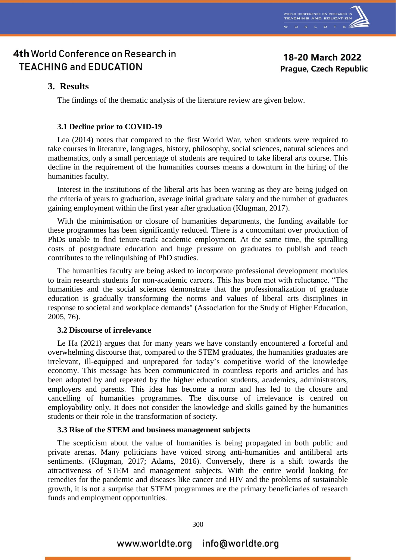

### 18-20 March 2022 **Prague, Czech Republic**

### **3. Results**

The findings of the thematic analysis of the literature review are given below.

#### **3.1 Decline prior to COVID-19**

Lea (2014) notes that compared to the first World War, when students were required to take courses in literature, languages, history, philosophy, social sciences, natural sciences and mathematics, only a small percentage of students are required to take liberal arts course. This decline in the requirement of the humanities courses means a downturn in the hiring of the humanities faculty.

Interest in the institutions of the liberal arts has been waning as they are being judged on the criteria of years to graduation, average initial graduate salary and the number of graduates gaining employment within the first year after graduation (Klugman, 2017).

With the minimisation or closure of humanities departments, the funding available for these programmes has been significantly reduced. There is a concomitant over production of PhDs unable to find tenure-track academic employment. At the same time, the spiralling costs of postgraduate education and huge pressure on graduates to publish and teach contributes to the relinquishing of PhD studies.

The humanities faculty are being asked to incorporate professional development modules to train research students for non-academic careers. This has been met with reluctance. "The humanities and the social sciences demonstrate that the professionalization of graduate education is gradually transforming the norms and values of liberal arts disciplines in response to societal and workplace demands" (Association for the Study of Higher Education, 2005, 76).

#### **3.2 Discourse of irrelevance**

Le Ha (2021) argues that for many years we have constantly encountered a forceful and overwhelming discourse that, compared to the STEM graduates, the humanities graduates are irrelevant, ill-equipped and unprepared for today's competitive world of the knowledge economy. This message has been communicated in countless reports and articles and has been adopted by and repeated by the higher education students, academics, administrators, employers and parents. This idea has become a norm and has led to the closure and cancelling of humanities programmes. The discourse of irrelevance is centred on employability only. It does not consider the knowledge and skills gained by the humanities students or their role in the transformation of society.

#### **3.3 Rise of the STEM and business management subjects**

The scepticism about the value of humanities is being propagated in both public and private arenas. Many politicians have voiced strong anti-humanities and antiliberal arts sentiments. (Klugman, 2017; Adams, 2016). Conversely, there is a shift towards the attractiveness of STEM and management subjects. With the entire world looking for remedies for the pandemic and diseases like cancer and HIV and the problems of sustainable growth, it is not a surprise that STEM programmes are the primary beneficiaries of research funds and employment opportunities.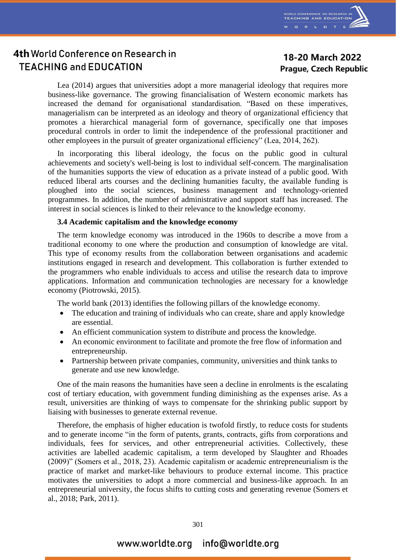

### 18-20 March 2022 **Prague, Czech Republic**

Lea (2014) argues that universities adopt a more managerial ideology that requires more business-like governance. The growing financialisation of Western economic markets has increased the demand for organisational standardisation. "Based on these imperatives, managerialism can be interpreted as an ideology and theory of organizational efficiency that promotes a hierarchical managerial form of governance, specifically one that imposes procedural controls in order to limit the independence of the professional practitioner and other employees in the pursuit of greater organizational efficiency" (Lea, 2014, 262).

In incorporating this liberal ideology, the focus on the public good in cultural achievements and society's well-being is lost to individual self-concern. The marginalisation of the humanities supports the view of education as a private instead of a public good. With reduced liberal arts courses and the declining humanities faculty, the available funding is ploughed into the social sciences, business management and technology-oriented programmes. In addition, the number of administrative and support staff has increased. The interest in social sciences is linked to their relevance to the knowledge economy.

#### **3.4 Academic capitalism and the knowledge economy**

The term knowledge economy was introduced in the 1960s to describe a move from a traditional economy to one where the production and consumption of knowledge are vital. This type of economy results from the collaboration between organisations and academic institutions engaged in research and development. This collaboration is further extended to the programmers who enable individuals to access and utilise the research data to improve applications. Information and communication technologies are necessary for a knowledge economy (Piotrowski, 2015).

The world bank (2013) identifies the following pillars of the knowledge economy.

- The education and training of individuals who can create, share and apply knowledge are essential.
- An efficient communication system to distribute and process the knowledge.
- An economic environment to facilitate and promote the free flow of information and entrepreneurship.
- Partnership between private companies, community, universities and think tanks to generate and use new knowledge.

One of the main reasons the humanities have seen a decline in enrolments is the escalating cost of tertiary education, with government funding diminishing as the expenses arise. As a result, universities are thinking of ways to compensate for the shrinking public support by liaising with businesses to generate external revenue.

Therefore, the emphasis of higher education is twofold firstly, to reduce costs for students and to generate income "in the form of patents, grants, contracts, gifts from corporations and individuals, fees for services, and other entrepreneurial activities. Collectively, these activities are labelled academic capitalism, a term developed by Slaughter and Rhoades (2009)" (Somers et al., 2018, 23). Academic capitalism or academic entrepreneurialism is the practice of market and market-like behaviours to produce external income. This practice motivates the universities to adopt a more commercial and business-like approach. In an entrepreneurial university, the focus shifts to cutting costs and generating revenue (Somers et al., 2018; Park, 2011).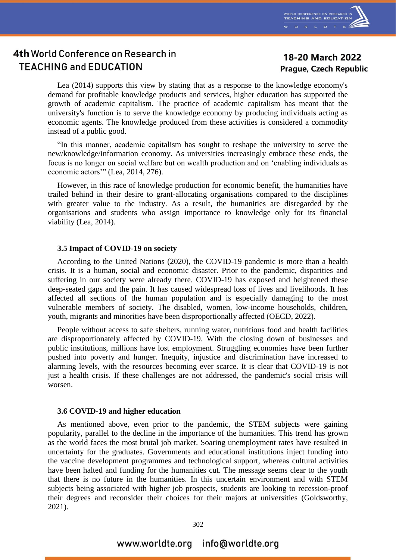

## 18-20 March 2022 **Prague, Czech Republic**

Lea (2014) supports this view by stating that as a response to the knowledge economy's demand for profitable knowledge products and services, higher education has supported the growth of academic capitalism. The practice of academic capitalism has meant that the university's function is to serve the knowledge economy by producing individuals acting as economic agents. The knowledge produced from these activities is considered a commodity instead of a public good.

"In this manner, academic capitalism has sought to reshape the university to serve the new/knowledge/information economy. As universities increasingly embrace these ends, the focus is no longer on social welfare but on wealth production and on 'enabling individuals as economic actors'" (Lea, 2014, 276).

However, in this race of knowledge production for economic benefit, the humanities have trailed behind in their desire to grant-allocating organisations compared to the disciplines with greater value to the industry. As a result, the humanities are disregarded by the organisations and students who assign importance to knowledge only for its financial viability (Lea, 2014).

#### **3.5 Impact of COVID-19 on society**

According to the United Nations (2020), the COVID-19 pandemic is more than a health crisis. It is a human, social and economic disaster. Prior to the pandemic, disparities and suffering in our society were already there. COVID-19 has exposed and heightened these deep-seated gaps and the pain. It has caused widespread loss of lives and livelihoods. It has affected all sections of the human population and is especially damaging to the most vulnerable members of society. The disabled, women, low-income households, children, youth, migrants and minorities have been disproportionally affected (OECD, 2022).

People without access to safe shelters, running water, nutritious food and health facilities are disproportionately affected by COVID-19. With the closing down of businesses and public institutions, millions have lost employment. Struggling economies have been further pushed into poverty and hunger. Inequity, injustice and discrimination have increased to alarming levels, with the resources becoming ever scarce. It is clear that COVID-19 is not just a health crisis. If these challenges are not addressed, the pandemic's social crisis will worsen.

#### **3.6 COVID-19 and higher education**

As mentioned above, even prior to the pandemic, the STEM subjects were gaining popularity, parallel to the decline in the importance of the humanities. This trend has grown as the world faces the most brutal job market. Soaring unemployment rates have resulted in uncertainty for the graduates. Governments and educational institutions inject funding into the vaccine development programmes and technological support, whereas cultural activities have been halted and funding for the humanities cut. The message seems clear to the youth that there is no future in the humanities. In this uncertain environment and with STEM subjects being associated with higher job prospects, students are looking to recession-proof their degrees and reconsider their choices for their majors at universities (Goldsworthy, 2021).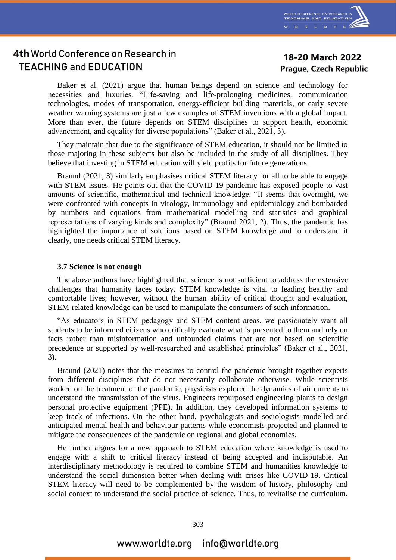

### 18-20 March 2022 **Prague, Czech Republic**

Baker et al. (2021) argue that human beings depend on science and technology for necessities and luxuries. "Life-saving and life-prolonging medicines, communication technologies, modes of transportation, energy-efficient building materials, or early severe weather warning systems are just a few examples of STEM inventions with a global impact. More than ever, the future depends on STEM disciplines to support health, economic advancement, and equality for diverse populations" (Baker et al., 2021, 3).

They maintain that due to the significance of STEM education, it should not be limited to those majoring in these subjects but also be included in the study of all disciplines. They believe that investing in STEM education will yield profits for future generations.

Braund (2021, 3) similarly emphasises critical STEM literacy for all to be able to engage with STEM issues. He points out that the COVID-19 pandemic has exposed people to vast amounts of scientific, mathematical and technical knowledge. "It seems that overnight, we were confronted with concepts in virology, immunology and epidemiology and bombarded by numbers and equations from mathematical modelling and statistics and graphical representations of varying kinds and complexity" (Braund 2021, 2). Thus, the pandemic has highlighted the importance of solutions based on STEM knowledge and to understand it clearly, one needs critical STEM literacy.

#### **3.7 Science is not enough**

The above authors have highlighted that science is not sufficient to address the extensive challenges that humanity faces today. STEM knowledge is vital to leading healthy and comfortable lives; however, without the human ability of critical thought and evaluation, STEM-related knowledge can be used to manipulate the consumers of such information.

"As educators in STEM pedagogy and STEM content areas, we passionately want all students to be informed citizens who critically evaluate what is presented to them and rely on facts rather than misinformation and unfounded claims that are not based on scientific precedence or supported by well-researched and established principles" (Baker et al., 2021, 3).

Braund (2021) notes that the measures to control the pandemic brought together experts from different disciplines that do not necessarily collaborate otherwise. While scientists worked on the treatment of the pandemic, physicists explored the dynamics of air currents to understand the transmission of the virus. Engineers repurposed engineering plants to design personal protective equipment (PPE). In addition, they developed information systems to keep track of infections. On the other hand, psychologists and sociologists modelled and anticipated mental health and behaviour patterns while economists projected and planned to mitigate the consequences of the pandemic on regional and global economies.

He further argues for a new approach to STEM education where knowledge is used to engage with a shift to critical literacy instead of being accepted and indisputable. An interdisciplinary methodology is required to combine STEM and humanities knowledge to understand the social dimension better when dealing with crises like COVID-19. Critical STEM literacy will need to be complemented by the wisdom of history, philosophy and social context to understand the social practice of science. Thus, to revitalise the curriculum,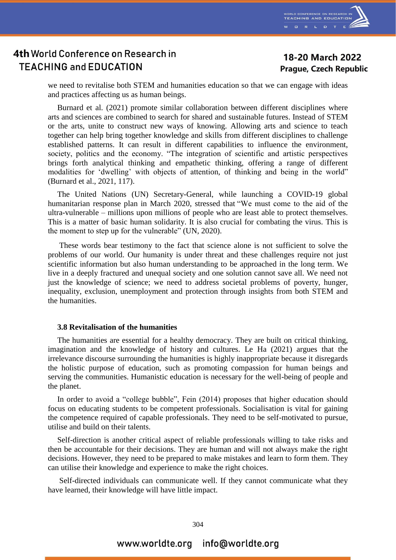

### 18-20 March 2022 **Prague, Czech Republic**

we need to revitalise both STEM and humanities education so that we can engage with ideas and practices affecting us as human beings.

Burnard et al. (2021) promote similar collaboration between different disciplines where arts and sciences are combined to search for shared and sustainable futures. Instead of STEM or the arts, unite to construct new ways of knowing. Allowing arts and science to teach together can help bring together knowledge and skills from different disciplines to challenge established patterns. It can result in different capabilities to influence the environment, society, politics and the economy. "The integration of scientific and artistic perspectives brings forth analytical thinking and empathetic thinking, offering a range of different modalities for 'dwelling' with objects of attention, of thinking and being in the world" (Burnard et al., 2021, 117).

The United Nations (UN) Secretary-General, while launching a COVID-19 global humanitarian response plan in March 2020, stressed that "We must come to the aid of the ultra-vulnerable – millions upon millions of people who are least able to protect themselves. This is a matter of basic human solidarity. It is also crucial for combating the virus. This is the moment to step up for the vulnerable" (UN, 2020).

These words bear testimony to the fact that science alone is not sufficient to solve the problems of our world. Our humanity is under threat and these challenges require not just scientific information but also human understanding to be approached in the long term. We live in a deeply fractured and unequal society and one solution cannot save all. We need not just the knowledge of science; we need to address societal problems of poverty, hunger, inequality, exclusion, unemployment and protection through insights from both STEM and the humanities.

#### **3.8 Revitalisation of the humanities**

The humanities are essential for a healthy democracy. They are built on critical thinking, imagination and the knowledge of history and cultures. Le Ha (2021) argues that the irrelevance discourse surrounding the humanities is highly inappropriate because it disregards the holistic purpose of education, such as promoting compassion for human beings and serving the communities. Humanistic education is necessary for the well-being of people and the planet.

In order to avoid a "college bubble", Fein (2014) proposes that higher education should focus on educating students to be competent professionals. Socialisation is vital for gaining the competence required of capable professionals. They need to be self-motivated to pursue, utilise and build on their talents.

Self-direction is another critical aspect of reliable professionals willing to take risks and then be accountable for their decisions. They are human and will not always make the right decisions. However, they need to be prepared to make mistakes and learn to form them. They can utilise their knowledge and experience to make the right choices.

Self-directed individuals can communicate well. If they cannot communicate what they have learned, their knowledge will have little impact.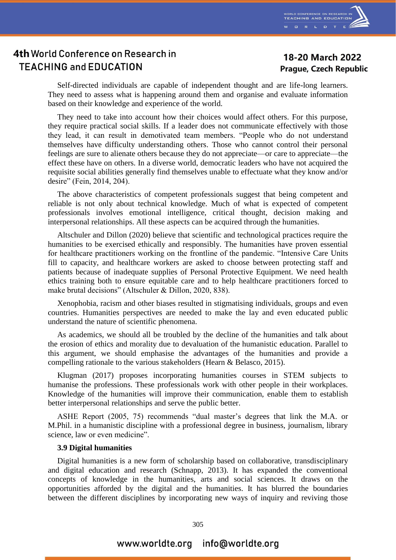

### 18-20 March 2022 **Prague, Czech Republic**

Self-directed individuals are capable of independent thought and are life-long learners. They need to assess what is happening around them and organise and evaluate information based on their knowledge and experience of the world.

They need to take into account how their choices would affect others. For this purpose, they require practical social skills. If a leader does not communicate effectively with those they lead, it can result in demotivated team members. "People who do not understand themselves have difficulty understanding others. Those who cannot control their personal feelings are sure to alienate others because they do not appreciate—or care to appreciate—the effect these have on others. In a diverse world, democratic leaders who have not acquired the requisite social abilities generally find themselves unable to effectuate what they know and/or desire" (Fein, 2014, 204).

The above characteristics of competent professionals suggest that being competent and reliable is not only about technical knowledge. Much of what is expected of competent professionals involves emotional intelligence, critical thought, decision making and interpersonal relationships. All these aspects can be acquired through the humanities.

Altschuler and Dillon (2020) believe that scientific and technological practices require the humanities to be exercised ethically and responsibly. The humanities have proven essential for healthcare practitioners working on the frontline of the pandemic. "Intensive Care Units fill to capacity, and healthcare workers are asked to choose between protecting staff and patients because of inadequate supplies of Personal Protective Equipment. We need health ethics training both to ensure equitable care and to help healthcare practitioners forced to make brutal decisions" (Altschuler & Dillon, 2020, 838).

Xenophobia, racism and other biases resulted in stigmatising individuals, groups and even countries. Humanities perspectives are needed to make the lay and even educated public understand the nature of scientific phenomena.

As academics, we should all be troubled by the decline of the humanities and talk about the erosion of ethics and morality due to devaluation of the humanistic education. Parallel to this argument, we should emphasise the advantages of the humanities and provide a compelling rationale to the various stakeholders (Hearn & Belasco, 2015).

Klugman (2017) proposes incorporating humanities courses in STEM subjects to humanise the professions. These professionals work with other people in their workplaces. Knowledge of the humanities will improve their communication, enable them to establish better interpersonal relationships and serve the public better.

ASHE Report (2005, 75) recommends "dual master's degrees that link the M.A. or M.Phil. in a humanistic discipline with a professional degree in business, journalism, library science, law or even medicine".

#### **3.9 Digital humanities**

Digital humanities is a new form of scholarship based on collaborative, transdisciplinary and digital education and research (Schnapp, 2013). It has expanded the conventional concepts of knowledge in the humanities, arts and social sciences. It draws on the opportunities afforded by the digital and the humanities. It has blurred the boundaries between the different disciplines by incorporating new ways of inquiry and reviving those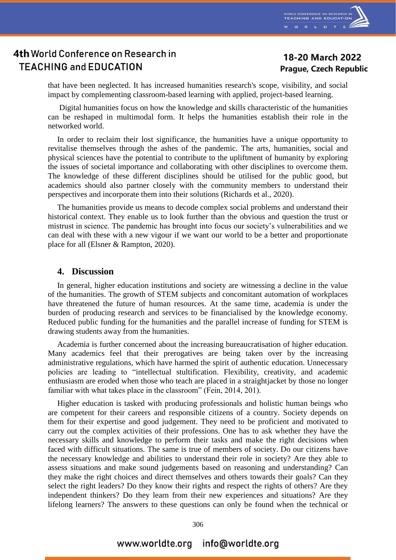

## 18-20 March 2022 **Prague, Czech Republic**

that have been neglected. It has increased humanities research's scope, visibility, and social impact by complementing classroom-based learning with applied, project-based learning.

Digital humanities focus on how the knowledge and skills characteristic of the humanities can be reshaped in multimodal form. It helps the humanities establish their role in the networked world.

In order to reclaim their lost significance, the humanities have a unique opportunity to revitalise themselves through the ashes of the pandemic. The arts, humanities, social and physical sciences have the potential to contribute to the upliftment of humanity by exploring the issues of societal importance and collaborating with other disciplines to overcome them. The knowledge of these different disciplines should be utilised for the public good, but academics should also partner closely with the community members to understand their perspectives and incorporate them into their solutions (Richards et al., 2020).

The humanities provide us means to decode complex social problems and understand their historical context. They enable us to look further than the obvious and question the trust or mistrust in science. The pandemic has brought into focus our society's vulnerabilities and we can deal with these with a new vigour if we want our world to be a better and proportionate place for all (Elsner & Rampton, 2020).

#### **4. Discussion**

In general, higher education institutions and society are witnessing a decline in the value of the humanities. The growth of STEM subjects and concomitant automation of workplaces have threatened the future of human resources. At the same time, academia is under the burden of producing research and services to be financialised by the knowledge economy. Reduced public funding for the humanities and the parallel increase of funding for STEM is drawing students away from the humanities.

Academia is further concerned about the increasing bureaucratisation of higher education. Many academics feel that their prerogatives are being taken over by the increasing administrative regulations, which have harmed the spirit of authentic education. Unnecessary policies are leading to "intellectual stultification. Flexibility, creativity, and academic enthusiasm are eroded when those who teach are placed in a straightjacket by those no longer familiar with what takes place in the classroom" (Fein, 2014, 201).

Higher education is tasked with producing professionals and holistic human beings who are competent for their careers and responsible citizens of a country. Society depends on them for their expertise and good judgement. They need to be proficient and motivated to carry out the complex activities of their professions. One has to ask whether they have the necessary skills and knowledge to perform their tasks and make the right decisions when faced with difficult situations. The same is true of members of society. Do our citizens have the necessary knowledge and abilities to understand their role in society? Are they able to assess situations and make sound judgements based on reasoning and understanding? Can they make the right choices and direct themselves and others towards their goals? Can they select the right leaders? Do they know their rights and respect the rights of others? Are they independent thinkers? Do they learn from their new experiences and situations? Are they lifelong learners? The answers to these questions can only be found when the technical or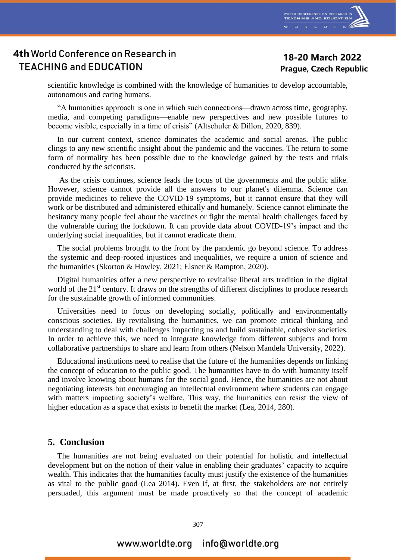

### 18-20 March 2022 **Prague, Czech Republic**

scientific knowledge is combined with the knowledge of humanities to develop accountable, autonomous and caring humans.

"A humanities approach is one in which such connections—drawn across time, geography, media, and competing paradigms—enable new perspectives and new possible futures to become visible, especially in a time of crisis" (Altschuler & Dillon, 2020, 839).

In our current context, science dominates the academic and social arenas. The public clings to any new scientific insight about the pandemic and the vaccines. The return to some form of normality has been possible due to the knowledge gained by the tests and trials conducted by the scientists.

As the crisis continues, science leads the focus of the governments and the public alike. However, science cannot provide all the answers to our planet's dilemma. Science can provide medicines to relieve the COVID-19 symptoms, but it cannot ensure that they will work or be distributed and administered ethically and humanely. Science cannot eliminate the hesitancy many people feel about the vaccines or fight the mental health challenges faced by the vulnerable during the lockdown. It can provide data about COVID-19's impact and the underlying social inequalities, but it cannot eradicate them.

The social problems brought to the front by the pandemic go beyond science. To address the systemic and deep-rooted injustices and inequalities, we require a union of science and the humanities (Skorton & Howley, 2021; Elsner & Rampton, 2020).

Digital humanities offer a new perspective to revitalise liberal arts tradition in the digital world of the 21<sup>st</sup> century. It draws on the strengths of different disciplines to produce research for the sustainable growth of informed communities.

Universities need to focus on developing socially, politically and environmentally conscious societies. By revitalising the humanities, we can promote critical thinking and understanding to deal with challenges impacting us and build sustainable, cohesive societies. In order to achieve this, we need to integrate knowledge from different subjects and form collaborative partnerships to share and learn from others (Nelson Mandela University, 2022).

Educational institutions need to realise that the future of the humanities depends on linking the concept of education to the public good. The humanities have to do with humanity itself and involve knowing about humans for the social good. Hence, the humanities are not about negotiating interests but encouraging an intellectual environment where students can engage with matters impacting society's welfare. This way, the humanities can resist the view of higher education as a space that exists to benefit the market (Lea, 2014, 280).

#### **5. Conclusion**

The humanities are not being evaluated on their potential for holistic and intellectual development but on the notion of their value in enabling their graduates' capacity to acquire wealth. This indicates that the humanities faculty must justify the existence of the humanities as vital to the public good (Lea 2014). Even if, at first, the stakeholders are not entirely persuaded, this argument must be made proactively so that the concept of academic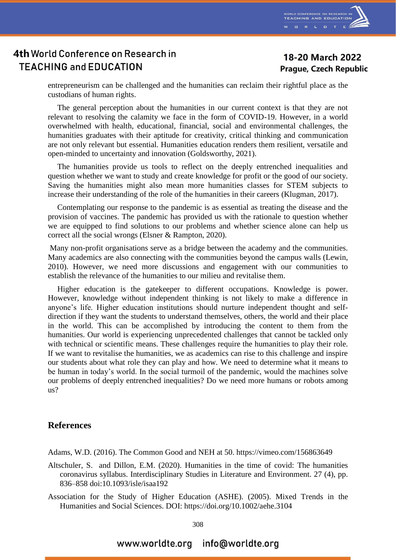

### 18-20 March 2022 **Prague, Czech Republic**

entrepreneurism can be challenged and the humanities can reclaim their rightful place as the custodians of human rights.

The general perception about the humanities in our current context is that they are not relevant to resolving the calamity we face in the form of COVID-19. However, in a world overwhelmed with health, educational, financial, social and environmental challenges, the humanities graduates with their aptitude for creativity, critical thinking and communication are not only relevant but essential. Humanities education renders them resilient, versatile and open-minded to uncertainty and innovation (Goldsworthy, 2021).

The humanities provide us tools to reflect on the deeply entrenched inequalities and question whether we want to study and create knowledge for profit or the good of our society. Saving the humanities might also mean more humanities classes for STEM subjects to increase their understanding of the role of the humanities in their careers (Klugman, 2017).

Contemplating our response to the pandemic is as essential as treating the disease and the provision of vaccines. The pandemic has provided us with the rationale to question whether we are equipped to find solutions to our problems and whether science alone can help us correct all the social wrongs (Elsner & Rampton, 2020).

Many non-profit organisations serve as a bridge between the academy and the communities. Many academics are also connecting with the communities beyond the campus walls (Lewin, 2010). However, we need more discussions and engagement with our communities to establish the relevance of the humanities to our milieu and revitalise them.

Higher education is the gatekeeper to different occupations. Knowledge is power. However, knowledge without independent thinking is not likely to make a difference in anyone's life. Higher education institutions should nurture independent thought and selfdirection if they want the students to understand themselves, others, the world and their place in the world. This can be accomplished by introducing the content to them from the humanities. Our world is experiencing unprecedented challenges that cannot be tackled only with technical or scientific means. These challenges require the humanities to play their role. If we want to revitalise the humanities, we as academics can rise to this challenge and inspire our students about what role they can play and how. We need to determine what it means to be human in today's world. In the social turmoil of the pandemic, would the machines solve our problems of deeply entrenched inequalities? Do we need more humans or robots among us?

### **References**

Adams, W.D. (2016). The Common Good and NEH at 50. https://vimeo.com/156863649

- Altschuler, S. and Dillon, E.M. (2020). Humanities in the time of covid: The humanities coronavirus syllabus. Interdisciplinary Studies in Literature and Environment. 27 (4), pp. 836–858 doi:10.1093/isle/isaa192
- Association for the Study of Higher Education (ASHE). (2005). Mixed Trends in the Humanities and Social Sciences. DOI: https://doi.org/10.1002/aehe.3104

308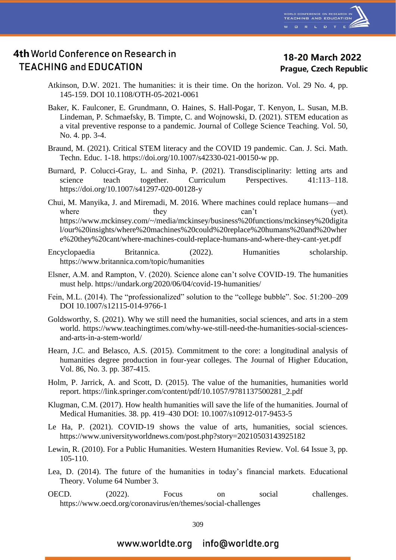

### 18-20 March 2022 **Prague, Czech Republic**

- Atkinson, D.W. 2021. The humanities: it is their time. On the horizon. Vol. 29 No. 4, pp. 145-159. DOI 10.1108/OTH-05-2021-0061
- Baker, K. Faulconer, E. Grundmann, O. Haines, S. Hall-Pogar, T. Kenyon, L. Susan, M.B. Lindeman, P. Schmaefsky, B. Timpte, C. and Wojnowski, D. (2021). STEM education as a vital preventive response to a pandemic. Journal of College Science Teaching. Vol. 50, No. 4. pp. 3-4.
- Braund, M. (2021). Critical STEM literacy and the COVID 19 pandemic. Can. J. Sci. Math. Techn. Educ. 1-18. https://doi.org/10.1007/s42330-021-00150-w pp.
- Burnard, P. Colucci-Gray, L. and Sinha, P. (2021). Transdisciplinarity: letting arts and science teach together. Curriculum Perspectives. 41:113–118. https://doi.org/10.1007/s41297-020-00128-y
- Chui, M. Manyika, J. and Miremadi, M. 2016. Where machines could replace humans—and where they they can't (yet). https://www.mckinsey.com/~/media/mckinsey/business%20functions/mckinsey%20digita l/our%20insights/where%20machines%20could%20replace%20humans%20and%20wher e%20they%20cant/where-machines-could-replace-humans-and-where-they-cant-yet.pdf

Encyclopaedia Britannica. (2022). Humanities scholarship. https://www.britannica.com/topic/humanities

- Elsner, A.M. and Rampton, V. (2020). Science alone can't solve COVID-19. The humanities must help. https://undark.org/2020/06/04/covid-19-humanities/
- Fein, M.L. (2014). The "professionalized" solution to the "college bubble". Soc. 51:200–209 DOI 10.1007/s12115-014-9766-1
- Goldsworthy, S. (2021). Why we still need the humanities, social sciences, and arts in a stem world. https://www.teachingtimes.com/why-we-still-need-the-humanities-social-sciencesand-arts-in-a-stem-world/
- Hearn, J.C. and Belasco, A.S. (2015). Commitment to the core: a longitudinal analysis of humanities degree production in four-year colleges. The Journal of Higher Education, Vol. 86, No. 3. pp. 387-415.
- Holm, P. Jarrick, A. and Scott, D. (2015). The value of the humanities, humanities world report. https://link.springer.com/content/pdf/10.1057/9781137500281\_2.pdf
- Klugman, C.M. (2017). How health humanities will save the life of the humanities. Journal of Medical Humanities. 38. pp. 419–430 DOI: 10.1007/s10912-017-9453-5
- Le Ha, P. (2021). COVID-19 shows the value of arts, humanities, social sciences. https://www.universityworldnews.com/post.php?story=20210503143925182
- Lewin, R. (2010). For a Public Humanities. Western Humanities Review. Vol. 64 Issue 3, pp. 105-110.
- Lea, D. (2014). The future of the humanities in today's financial markets. Educational Theory. Volume 64 Number 3.
- OECD. (2022). Focus on social challenges. https://www.oecd.org/coronavirus/en/themes/social-challenges

309

#### info@worldte.org www.worldte.org